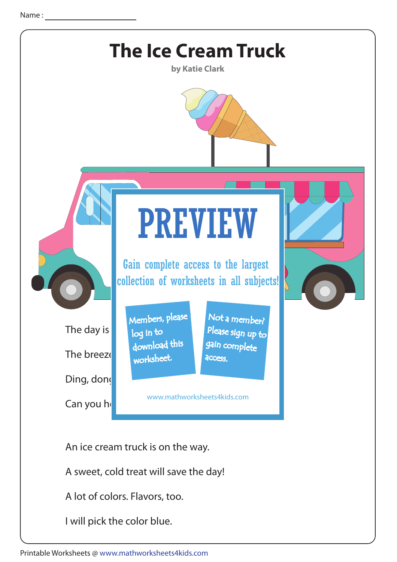

I will pick the color blue.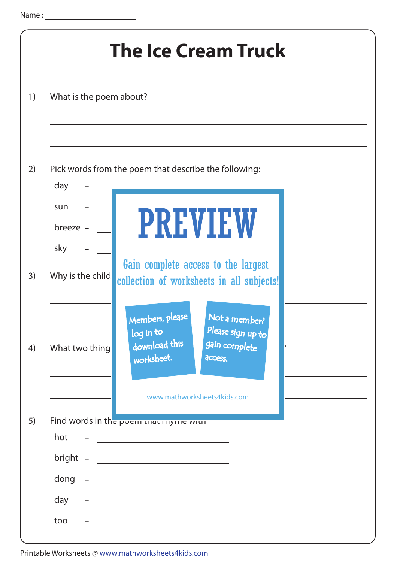|                         | <b>The Ice Cream Truck</b>                                                                                           |
|-------------------------|----------------------------------------------------------------------------------------------------------------------|
| What is the poem about? |                                                                                                                      |
| day<br>sun              | Pick words from the poem that describe the following:                                                                |
| breeze -<br>sky         | <b>PREVIEW</b>                                                                                                       |
| Why is the child        | Gain complete access to the largest<br>collection of worksheets in all subjects!<br>Members, please<br>Not a member? |
| What two thing          | Please sign up to<br>log in to<br>download this<br>gain complete<br>worksheet.<br>access.                            |
| hot                     | www.mathworksheets4kids.com<br>Find words in the poem mat mylle with                                                 |
| bright -                | the control of the control of the control of the control of the control of                                           |
| dong                    |                                                                                                                      |
| day                     |                                                                                                                      |
| too                     |                                                                                                                      |